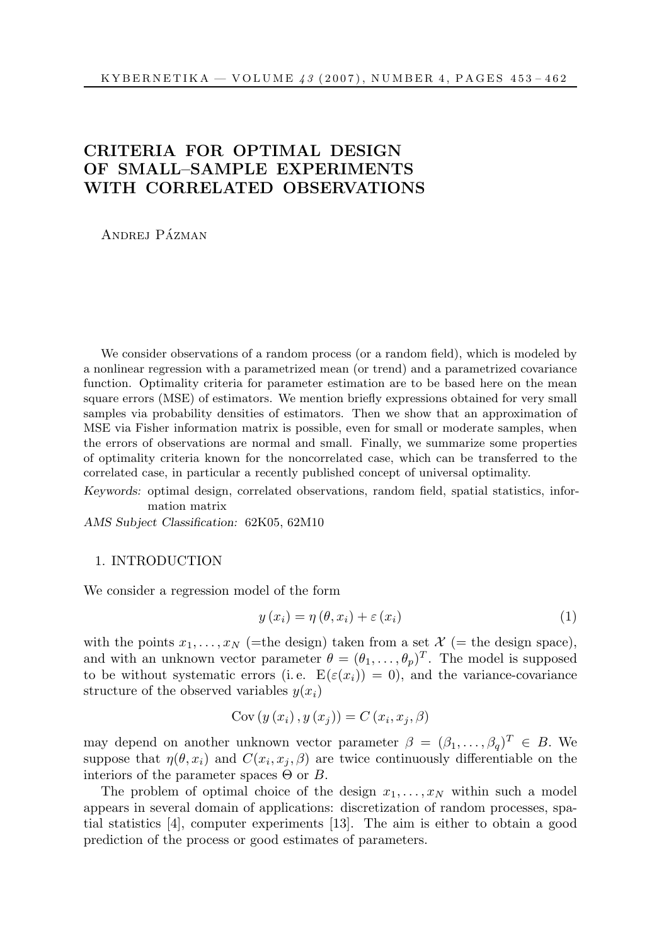# CRITERIA FOR OPTIMAL DESIGN OF SMALL–SAMPLE EXPERIMENTS WITH CORRELATED OBSERVATIONS

ANDREJ PÁZMAN

We consider observations of a random process (or a random field), which is modeled by a nonlinear regression with a parametrized mean (or trend) and a parametrized covariance function. Optimality criteria for parameter estimation are to be based here on the mean square errors (MSE) of estimators. We mention briefly expressions obtained for very small samples via probability densities of estimators. Then we show that an approximation of MSE via Fisher information matrix is possible, even for small or moderate samples, when the errors of observations are normal and small. Finally, we summarize some properties of optimality criteria known for the noncorrelated case, which can be transferred to the correlated case, in particular a recently published concept of universal optimality.

Keywords: optimal design, correlated observations, random field, spatial statistics, information matrix

AMS Subject Classification: 62K05, 62M10

#### 1. INTRODUCTION

We consider a regression model of the form

$$
y(x_i) = \eta(\theta, x_i) + \varepsilon(x_i)
$$
\n(1)

with the points  $x_1, \ldots, x_N$  (=the design) taken from a set  $\mathcal{X}$  (= the design space), and with an unknown vector parameter  $\theta = (\theta_1, \ldots, \theta_p)^T$ . The model is supposed to be without systematic errors (i.e.  $E(\varepsilon(x_i)) = 0$ ), and the variance-covariance structure of the observed variables  $y(x_i)$ 

$$
Cov(y(x_i), y(x_j)) = C(x_i, x_j, \beta)
$$

may depend on another unknown vector parameter  $\beta = (\beta_1, \dots, \beta_q)^T \in B$ . We suppose that  $\eta(\theta, x_i)$  and  $C(x_i, x_j, \beta)$  are twice continuously differentiable on the interiors of the parameter spaces  $\Theta$  or  $B$ .

The problem of optimal choice of the design  $x_1, \ldots, x_N$  within such a model appears in several domain of applications: discretization of random processes, spatial statistics [4], computer experiments [13]. The aim is either to obtain a good prediction of the process or good estimates of parameters.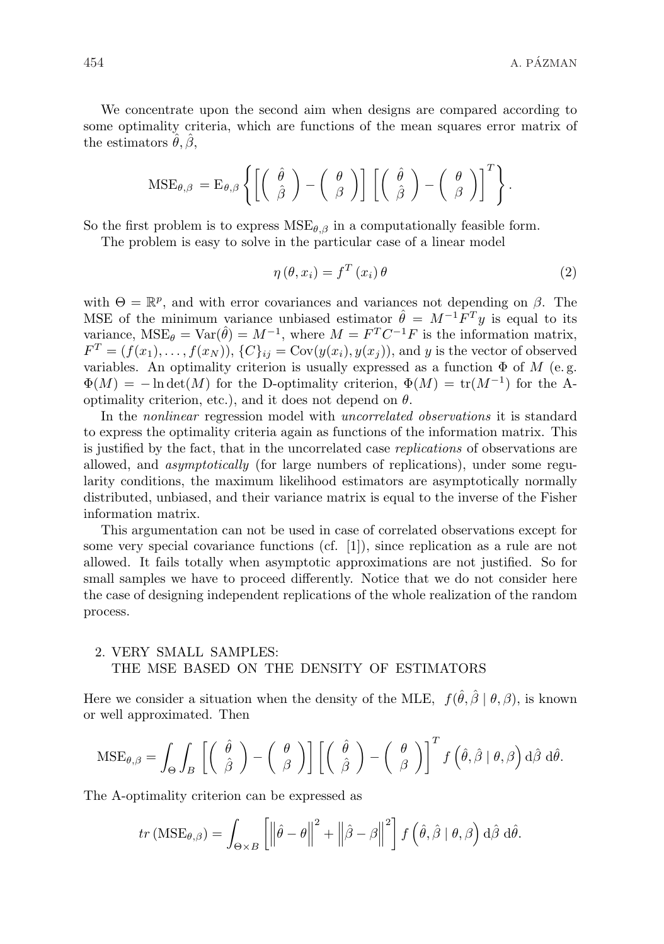We concentrate upon the second aim when designs are compared according to some optimality criteria, which are functions of the mean squares error matrix of the estimators  $\hat{\theta}$ ,  $\hat{\beta}$ ,

$$
\text{MSE}_{\theta,\beta} = \text{E}_{\theta,\beta} \left\{ \left[ \left( \begin{array}{c} \hat{\theta} \\ \hat{\beta} \end{array} \right) - \left( \begin{array}{c} \theta \\ \beta \end{array} \right) \right] \left[ \left( \begin{array}{c} \hat{\theta} \\ \hat{\beta} \end{array} \right) - \left( \begin{array}{c} \theta \\ \beta \end{array} \right) \right]^T \right\}.
$$

So the first problem is to express  $MSE_{\theta,\beta}$  in a computationally feasible form.

The problem is easy to solve in the particular case of a linear model

$$
\eta\left(\theta, x_{i}\right) = f^{T}\left(x_{i}\right)\theta\tag{2}
$$

with  $\Theta = \mathbb{R}^p$ , and with error covariances and variances not depending on  $\beta$ . The MSE of the minimum variance unbiased estimator  $\hat{\theta} = M^{-1}F^{T}y$  is equal to its variance,  $MSE_{\theta} = Var(\hat{\theta}) = M^{-1}$ , where  $M = F^{T}C^{-1}F$  is the information matrix,  $F^T = (f(x_1), \ldots, f(x_N)), \{C\}_{ij} = \text{Cov}(y(x_i), y(x_j)),$  and y is the vector of observed variables. An optimality criterion is usually expressed as a function  $\Phi$  of  $M$  (e.g.  $\Phi(M) = -\ln \det(M)$  for the D-optimality criterion,  $\Phi(M) = \text{tr}(M^{-1})$  for the Aoptimality criterion, etc.), and it does not depend on  $\theta$ .

In the nonlinear regression model with uncorrelated observations it is standard to express the optimality criteria again as functions of the information matrix. This is justified by the fact, that in the uncorrelated case replications of observations are allowed, and asymptotically (for large numbers of replications), under some regularity conditions, the maximum likelihood estimators are asymptotically normally distributed, unbiased, and their variance matrix is equal to the inverse of the Fisher information matrix.

This argumentation can not be used in case of correlated observations except for some very special covariance functions (cf. [1]), since replication as a rule are not allowed. It fails totally when asymptotic approximations are not justified. So for small samples we have to proceed differently. Notice that we do not consider here the case of designing independent replications of the whole realization of the random process.

## 2. VERY SMALL SAMPLES: THE MSE BASED ON THE DENSITY OF ESTIMATORS

Here we consider a situation when the density of the MLE,  $f(\hat{\theta}, \hat{\beta} | \theta, \beta)$ , is known or well approximated. Then

$$
\text{MSE}_{\theta,\beta} = \int_{\Theta} \int_{B} \left[ \begin{pmatrix} \hat{\theta} \\ \hat{\beta} \end{pmatrix} - \begin{pmatrix} \theta \\ \beta \end{pmatrix} \right] \left[ \begin{pmatrix} \hat{\theta} \\ \hat{\beta} \end{pmatrix} - \begin{pmatrix} \theta \\ \beta \end{pmatrix} \right]^T f \left( \hat{\theta}, \hat{\beta} \mid \theta, \beta \right) d\hat{\beta} d\hat{\theta}.
$$

The A-optimality criterion can be expressed as

$$
tr\left(\text{MSE}_{\theta,\beta}\right) = \int_{\Theta\times B} \left[ \left\| \hat{\theta} - \theta \right\|^2 + \left\| \hat{\beta} - \beta \right\|^2 \right] f\left( \hat{\theta}, \hat{\beta} \mid \theta, \beta \right) d\hat{\beta} d\hat{\theta}.
$$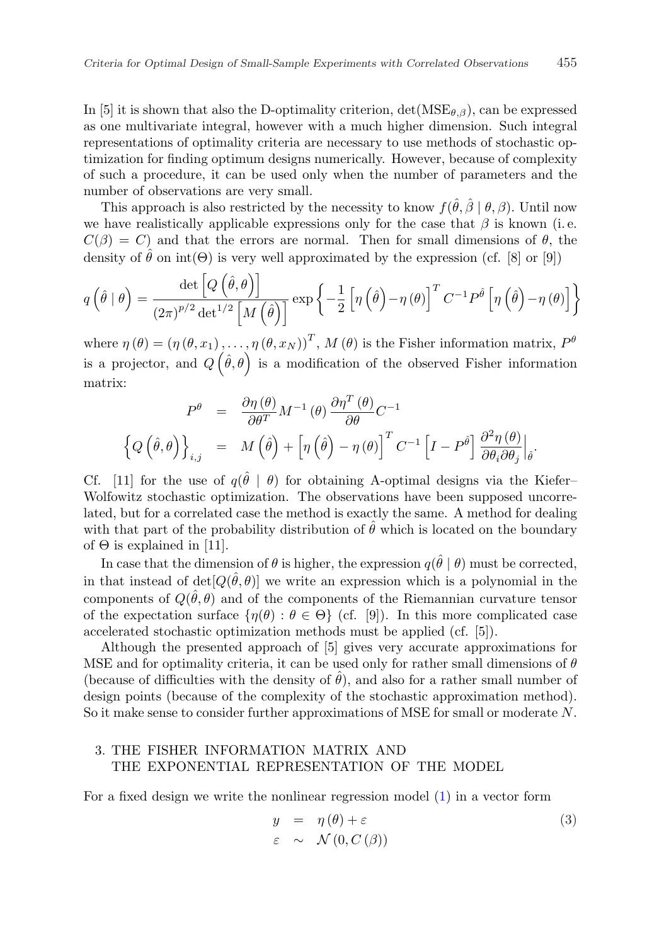In [5] it is shown that also the D-optimality criterion,  $\det(MSE_{\theta,\beta})$ , can be expressed as one multivariate integral, however with a much higher dimension. Such integral representations of optimality criteria are necessary to use methods of stochastic optimization for finding optimum designs numerically. However, because of complexity of such a procedure, it can be used only when the number of parameters and the number of observations are very small.

This approach is also restricted by the necessity to know  $f(\hat{\theta}, \hat{\beta} | \theta, \beta)$ . Until now we have realistically applicable expressions only for the case that  $\beta$  is known (i.e.  $C(\beta) = C$ ) and that the errors are normal. Then for small dimensions of  $\theta$ , the density of  $\hat{\theta}$  on int( $\Theta$ ) is very well approximated by the expression (cf. [8] or [9])

$$
q\left(\hat{\theta} \mid \theta\right) = \frac{\det\left[Q\left(\hat{\theta}, \theta\right)\right]}{(2\pi)^{p/2} \det^{1/2}\left[M\left(\hat{\theta}\right)\right]} \exp\left\{-\frac{1}{2}\left[\eta\left(\hat{\theta}\right) - \eta\left(\theta\right)\right]^T C^{-1} P^{\hat{\theta}}\left[\eta\left(\hat{\theta}\right) - \eta\left(\theta\right)\right]\right\}
$$

where  $\eta(\theta) = (\eta(\theta, x_1), \dots, \eta(\theta, x_N))^T$ ,  $M(\theta)$  is the Fisher information matrix,  $P^{\theta}$ is a projector, and  $Q(\hat{\theta}, \theta)$  is a modification of the observed Fisher information matrix:

$$
P^{\theta} = \frac{\partial \eta(\theta)}{\partial \theta^{T}} M^{-1}(\theta) \frac{\partial \eta^{T}(\theta)}{\partial \theta} C^{-1}
$$
  

$$
\left\{ Q\left(\hat{\theta}, \theta\right) \right\}_{i,j} = M\left(\hat{\theta}\right) + \left[ \eta\left(\hat{\theta}\right) - \eta(\theta) \right]^{T} C^{-1} \left[ I - P^{\hat{\theta}} \right] \frac{\partial^{2} \eta(\theta)}{\partial \theta_{i} \partial \theta_{j}} \Big|_{\hat{\theta}}.
$$

Cf. [11] for the use of  $q(\hat{\theta} | \theta)$  for obtaining A-optimal designs via the Kiefer– Wolfowitz stochastic optimization. The observations have been supposed uncorrelated, but for a correlated case the method is exactly the same. A method for dealing with that part of the probability distribution of  $\hat{\theta}$  which is located on the boundary of  $\Theta$  is explained in [11].

In case that the dimension of  $\theta$  is higher, the expression  $q(\hat{\theta} | \theta)$  must be corrected, in that instead of  $det[Q(\hat{\theta},\theta)]$  we write an expression which is a polynomial in the components of  $Q(\hat{\theta}, \theta)$  and of the components of the Riemannian curvature tensor of the expectation surface  $\{\eta(\theta): \theta \in \Theta\}$  (cf. [9]). In this more complicated case accelerated stochastic optimization methods must be applied (cf. [5]).

Although the presented approach of [5] gives very accurate approximations for MSE and for optimality criteria, it can be used only for rather small dimensions of  $\theta$ (because of difficulties with the density of  $\theta$ ), and also for a rather small number of design points (because of the complexity of the stochastic approximation method). So it make sense to consider further approximations of MSE for small or moderate N.

### 3. THE FISHER INFORMATION MATRIX AND THE EXPONENTIAL REPRESENTATION OF THE MODEL

For a fixed design we write the nonlinear regression model (1) in a vector form

$$
y = \eta(\theta) + \varepsilon \tag{3}
$$
  

$$
\varepsilon \sim \mathcal{N}(0, C(\beta))
$$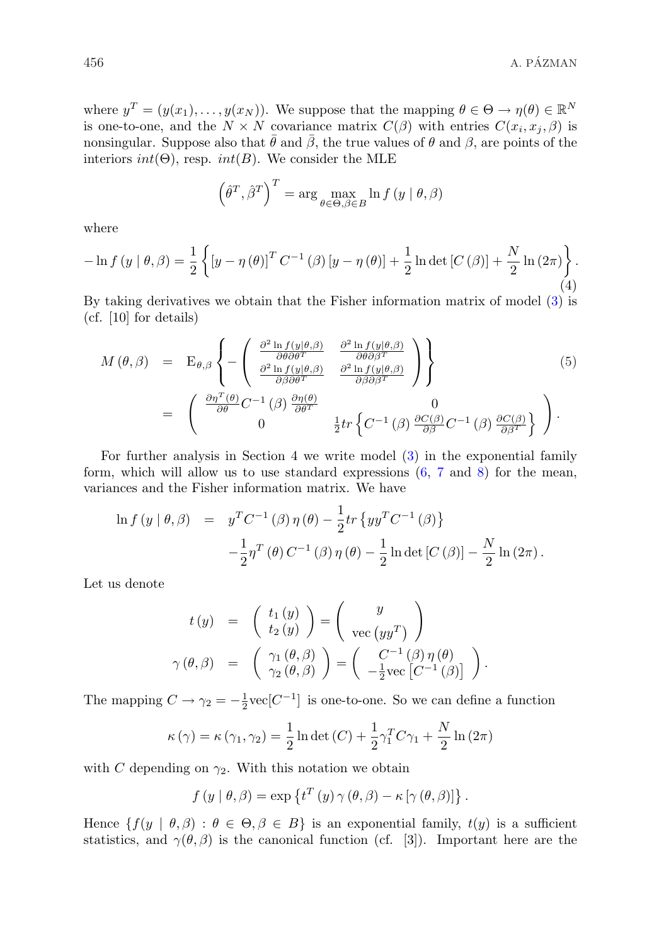where  $y^T = (y(x_1), \ldots, y(x_N))$ . We suppose that the mapping  $\theta \in \Theta \to \eta(\theta) \in \mathbb{R}^N$ is one-to-one, and the  $N \times N$  covariance matrix  $C(\beta)$  with entries  $C(x_i, x_j, \beta)$  is nonsingular. Suppose also that  $\theta$  and  $\beta$ , the true values of  $\theta$  and  $\beta$ , are points of the interiors  $int(\Theta)$ , resp.  $int(B)$ . We consider the MLE

$$
\left(\hat{\theta}^T, \hat{\beta}^T\right)^T = \arg\max_{\theta \in \Theta, \beta \in B} \ln f(y \mid \theta, \beta)
$$

where

$$
-\ln f(y \mid \theta, \beta) = \frac{1}{2} \left\{ \left[ y - \eta(\theta) \right]^T C^{-1}(\beta) \left[ y - \eta(\theta) \right] + \frac{1}{2} \ln \det \left[ C(\beta) \right] + \frac{N}{2} \ln \left( 2\pi \right) \right\}.
$$
\n(4)

By taking derivatives we obtain that the Fisher information matrix of model (3) is (cf. [10] for details)

$$
M(\theta,\beta) = \mathbf{E}_{\theta,\beta} \left\{ -\begin{pmatrix} \frac{\partial^2 \ln f(y|\theta,\beta)}{\partial \theta \partial \theta^T} & \frac{\partial^2 \ln f(y|\theta,\beta)}{\partial \theta \partial \beta^T} \\ \frac{\partial^2 \ln f(y|\theta,\beta)}{\partial \beta \partial \theta^T} & \frac{\partial^2 \ln f(y|\theta,\beta)}{\partial \beta \partial \beta^T} \end{pmatrix} \right\}
$$
  
= 
$$
\begin{pmatrix} \frac{\partial \eta^T(\theta)}{\partial \theta} C^{-1}(\beta) \frac{\partial \eta(\theta)}{\partial \theta^T} & 0 \\ 0 & \frac{1}{2} tr \left\{ C^{-1}(\beta) \frac{\partial C(\beta)}{\partial \beta} C^{-1}(\beta) \frac{\partial C(\beta)}{\partial \beta^T} \right\} \end{pmatrix}.
$$
 (5)

For further analysis in Section 4 we write model (3) in the exponential family form, which will allow us to use standard expressions (6, 7 and 8) for the mean, variances and the Fisher information matrix. We have

$$
\ln f(y | \theta, \beta) = y^T C^{-1}(\beta) \eta(\theta) - \frac{1}{2} tr \{ y y^T C^{-1}(\beta) \} - \frac{1}{2} \eta^T(\theta) C^{-1}(\beta) \eta(\theta) - \frac{1}{2} \ln \det [C(\beta)] - \frac{N}{2} \ln (2\pi).
$$

Let us denote

$$
t(y) = \begin{pmatrix} t_1(y) \\ t_2(y) \end{pmatrix} = \begin{pmatrix} y \\ \text{vec}(yy^T) \end{pmatrix}
$$

$$
\gamma(\theta, \beta) = \begin{pmatrix} \gamma_1(\theta, \beta) \\ \gamma_2(\theta, \beta) \end{pmatrix} = \begin{pmatrix} C^{-1}(\beta) \eta(\theta) \\ -\frac{1}{2} \text{vec}[C^{-1}(\beta)] \end{pmatrix}.
$$

The mapping  $C \to \gamma_2 = -\frac{1}{2} \text{vec}[C^{-1}]$  is one-to-one. So we can define a function

$$
\kappa(\gamma) = \kappa(\gamma_1, \gamma_2) = \frac{1}{2} \ln \det(C) + \frac{1}{2} \gamma_1^T C \gamma_1 + \frac{N}{2} \ln(2\pi)
$$

with C depending on  $\gamma_2$ . With this notation we obtain

$$
f(y | \theta, \beta) = \exp \{ t^{T}(y) \gamma(\theta, \beta) - \kappa [\gamma(\theta, \beta)] \}.
$$

Hence  $\{f(y | \theta, \beta) : \theta \in \Theta, \beta \in B\}$  is an exponential family,  $t(y)$  is a sufficient statistics, and  $\gamma(\theta, \beta)$  is the canonical function (cf. [3]). Important here are the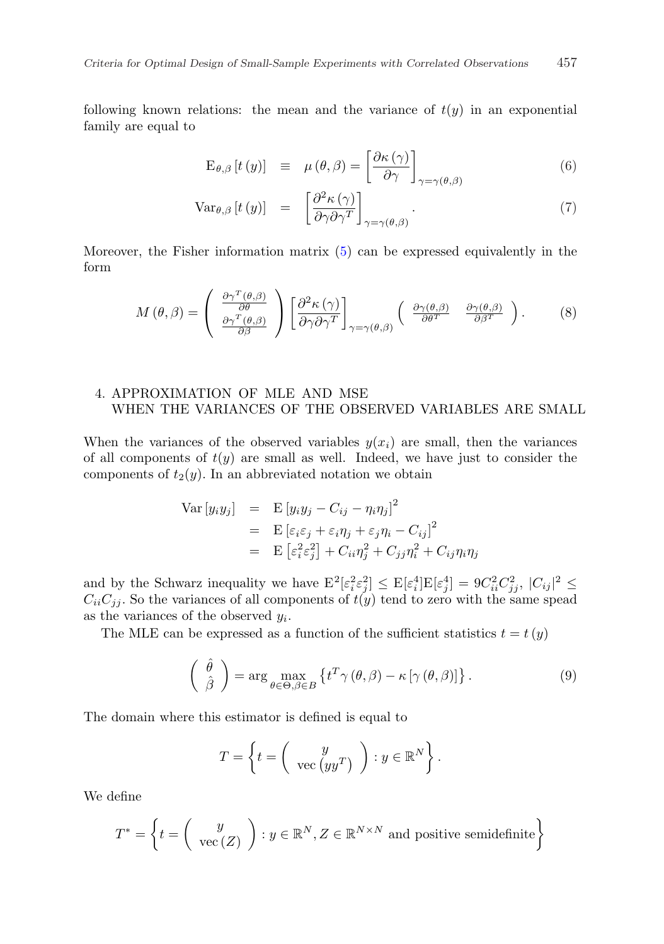following known relations: the mean and the variance of  $t(y)$  in an exponential family are equal to

$$
\mathcal{E}_{\theta,\beta}\left[t\left(y\right)\right] \equiv \mu\left(\theta,\beta\right) = \left[\frac{\partial\kappa\left(\gamma\right)}{\partial\gamma}\right]_{\gamma=\gamma\left(\theta,\beta\right)}\tag{6}
$$

$$
\text{Var}_{\theta,\beta}\left[t\left(y\right)\right] = \left[\frac{\partial^2 \kappa\left(\gamma\right)}{\partial \gamma \partial \gamma^T}\right]_{\gamma = \gamma\left(\theta,\beta\right)}.\tag{7}
$$

Moreover, the Fisher information matrix (5) can be expressed equivalently in the form

$$
M(\theta,\beta) = \begin{pmatrix} \frac{\partial \gamma^T(\theta,\beta)}{\partial \theta} \\ \frac{\partial \gamma^T(\theta,\beta)}{\partial \beta} \end{pmatrix} \begin{bmatrix} \frac{\partial^2 \kappa(\gamma)}{\partial \gamma \partial \gamma^T} \end{bmatrix}_{\gamma = \gamma(\theta,\beta)} \begin{pmatrix} \frac{\partial \gamma(\theta,\beta)}{\partial \theta^T} & \frac{\partial \gamma(\theta,\beta)}{\partial \beta^T} \end{pmatrix} . \tag{8}
$$

### 4. APPROXIMATION OF MLE AND MSE WHEN THE VARIANCES OF THE OBSERVED VARIABLES ARE SMALL

When the variances of the observed variables  $y(x_i)$  are small, then the variances of all components of  $t(y)$  are small as well. Indeed, we have just to consider the components of  $t_2(y)$ . In an abbreviated notation we obtain

$$
\begin{array}{rcl}\n\text{Var}\left[y_i y_j\right] & = & \text{E}\left[y_i y_j - C_{ij} - \eta_i \eta_j\right]^2 \\
& = & \text{E}\left[\varepsilon_i \varepsilon_j + \varepsilon_i \eta_j + \varepsilon_j \eta_i - C_{ij}\right]^2 \\
& = & \text{E}\left[\varepsilon_i^2 \varepsilon_j^2\right] + C_{ii} \eta_j^2 + C_{jj} \eta_i^2 + C_{ij} \eta_i \eta_j\n\end{array}
$$

and by the Schwarz inequality we have  $\mathbb{E}^2[\varepsilon_i^2 \varepsilon_j^2] \leq \mathbb{E}[\varepsilon_i^4] \mathbb{E}[\varepsilon_j^4] = 9C_{ii}^2C_{jj}^2$ ,  $|C_{ij}|^2 \leq$  $C_{ii}C_{jj}$ . So the variances of all components of  $t(y)$  tend to zero with the same spead as the variances of the observed  $y_i$ .

The MLE can be expressed as a function of the sufficient statistics  $t = t(y)$ 

$$
\begin{pmatrix}\n\hat{\theta} \\
\hat{\beta}\n\end{pmatrix} = \arg \max_{\theta \in \Theta, \beta \in B} \left\{ t^T \gamma(\theta, \beta) - \kappa [\gamma(\theta, \beta)] \right\}.
$$
\n(9)

The domain where this estimator is defined is equal to

$$
T = \left\{ t = \left( \begin{array}{c} y \\ \text{vec}(yy^T) \end{array} \right) : y \in \mathbb{R}^N \right\}.
$$

We define

$$
T^* = \left\{ t = \left( \begin{array}{c} y \\ \text{vec}(Z) \end{array} \right) : y \in \mathbb{R}^N, Z \in \mathbb{R}^{N \times N} \text{ and positive semidefinite} \right\}
$$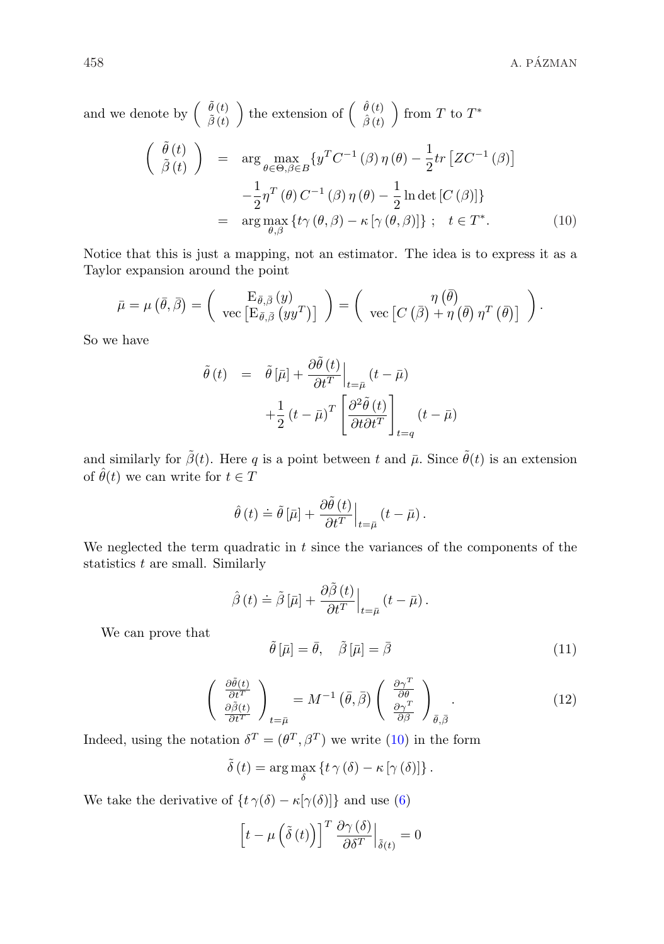and we denote by  $\begin{pmatrix} \tilde{\theta}(t) \\ \tilde{\rho}(t) \end{pmatrix}$  $\tilde{\beta}\left(t\right)$ ) the extension of  $\begin{pmatrix} \hat{\theta}(t) \\ \hat{\theta}(t) \end{pmatrix}$  $\hat{\beta}\left(t\right)$  $\Big)$  from T to  $T^*$ 

$$
\begin{aligned}\n\left(\begin{array}{c}\n\tilde{\theta}(t) \\
\tilde{\beta}(t)\n\end{array}\right) &= \arg\max_{\theta \in \Theta, \beta \in B} \{y^T C^{-1}(\beta) \eta(\theta) - \frac{1}{2} tr \left[ Z C^{-1}(\beta) \right] \\
&\quad - \frac{1}{2} \eta^T(\theta) C^{-1}(\beta) \eta(\theta) - \frac{1}{2} \ln \det \left[ C(\beta) \right] \} \\
&= \arg\max_{\theta, \beta} \{ t \gamma(\theta, \beta) - \kappa \left[ \gamma(\theta, \beta) \right] \}; \quad t \in T^*.\n\end{aligned} \tag{10}
$$

Notice that this is just a mapping, not an estimator. The idea is to express it as a Taylor expansion around the point

$$
\bar{\mu} = \mu \left( \bar{\theta}, \bar{\beta} \right) = \begin{pmatrix} \mathcal{E}_{\bar{\theta}, \bar{\beta}} \left( y \right) \\ \text{vec} \left[ \mathcal{E}_{\bar{\theta}, \bar{\beta}} \left( y y^T \right) \right] \end{pmatrix} = \begin{pmatrix} \eta \left( \bar{\theta} \right) \\ \text{vec} \left[ C \left( \bar{\beta} \right) + \eta \left( \bar{\theta} \right) \eta^T \left( \bar{\theta} \right) \right] \end{pmatrix}.
$$

So we have

$$
\tilde{\theta}(t) = \tilde{\theta}[\bar{\mu}] + \frac{\partial \tilde{\theta}(t)}{\partial t^T}\Big|_{t=\bar{\mu}} (t-\bar{\mu})
$$

$$
+ \frac{1}{2} (t-\bar{\mu})^T \left[ \frac{\partial^2 \tilde{\theta}(t)}{\partial t \partial t^T} \right]_{t=q} (t-\bar{\mu})
$$

and similarly for  $\tilde{\beta}(t)$ . Here q is a point between t and  $\bar{\mu}$ . Since  $\tilde{\theta}(t)$  is an extension of  $\hat{\theta}(t)$  we can write for  $t \in T$ 

$$
\hat{\theta}(t) \doteq \tilde{\theta} \left[ \bar{\mu} \right] + \frac{\partial \tilde{\theta}(t)}{\partial t^T} \Big|_{t = \bar{\mu}} \left( t - \bar{\mu} \right).
$$

We neglected the term quadratic in  $t$  since the variances of the components of the statistics  $t$  are small. Similarly

$$
\hat{\beta}(t) \doteq \tilde{\beta} \left[ \bar{\mu} \right] + \frac{\partial \tilde{\beta}(t)}{\partial t^T} \Big|_{t = \bar{\mu}} (t - \bar{\mu}).
$$

We can prove that

$$
\tilde{\theta}\left[\bar{\mu}\right] = \bar{\theta}, \quad \tilde{\beta}\left[\bar{\mu}\right] = \bar{\beta} \tag{11}
$$

$$
\begin{pmatrix}\n\frac{\partial \tilde{\theta}(t)}{\partial t^T} \\
\frac{\partial \tilde{\beta}(t)}{\partial t^T}\n\end{pmatrix}_{t=\bar{\mu}} = M^{-1} \left( \bar{\theta}, \bar{\beta} \right) \begin{pmatrix}\n\frac{\partial \gamma^T}{\partial \theta} \\
\frac{\partial \gamma^T}{\partial \beta}\n\end{pmatrix}_{\bar{\theta}, \bar{\beta}}.
$$
\n(12)

Indeed, using the notation  $\delta^T = (\theta^T, \beta^T)$  we write (10) in the form

$$
\tilde{\delta}(t) = \arg\max_{\delta} \left\{ t \gamma(\delta) - \kappa [\gamma(\delta)] \right\}.
$$

We take the derivative of  $\{t \gamma(\delta) - \kappa[\gamma(\delta)]\}$  and use (6)

$$
\[t - \mu\left(\tilde{\delta}\left(t\right)\right)\right]^T \frac{\partial \gamma\left(\delta\right)}{\partial \delta^T}\Big|_{\tilde{\delta}(t)} = 0
$$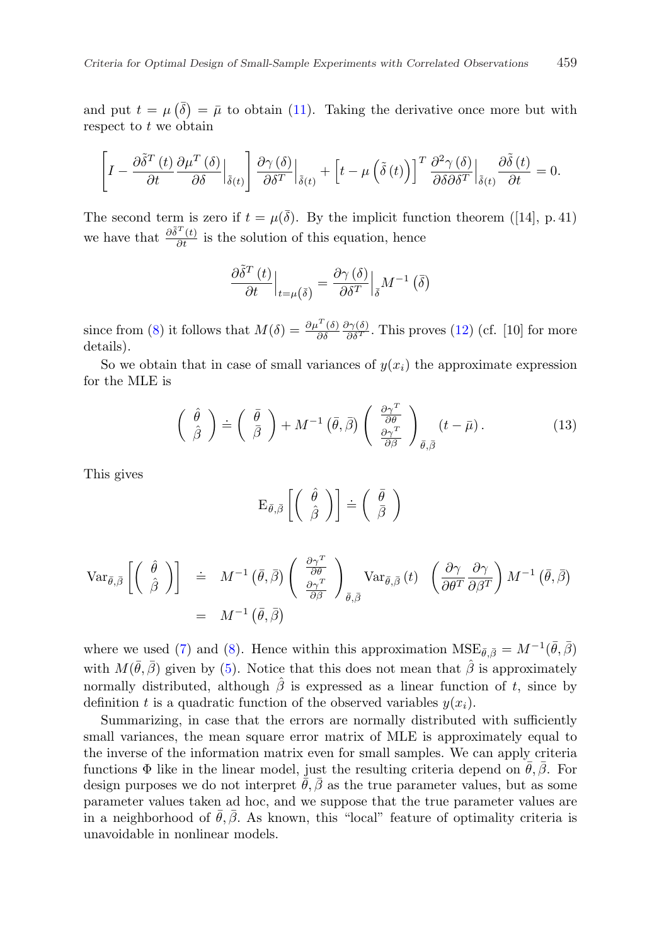and put  $t = \mu(\bar{\delta}) = \bar{\mu}$  to obtain (11). Taking the derivative once more but with respect to  $t$  we obtain

$$
\left[I - \frac{\partial \tilde{\delta}^{T}(t)}{\partial t} \frac{\partial \mu^{T}(\delta)}{\partial \delta}\Big|_{\tilde{\delta}(t)}\right] \frac{\partial \gamma(\delta)}{\partial \delta^{T}}\Big|_{\tilde{\delta}(t)} + \left[t - \mu\left(\tilde{\delta}(t)\right)\right]^{T} \frac{\partial^{2} \gamma(\delta)}{\partial \delta \partial \delta^{T}}\Big|_{\tilde{\delta}(t)} \frac{\partial \tilde{\delta}(t)}{\partial t} = 0.
$$

The second term is zero if  $t = \mu(\overline{\delta})$ . By the implicit function theorem ([14], p. 41) we have that  $\frac{\partial \tilde{\delta}^{T}(t)}{\partial t}$  is the solution of this equation, hence

$$
\frac{\partial \tilde{\delta}^{T} (t)}{\partial t}\Big|_{t=\mu\left(\bar{\delta}\right)} = \frac{\partial \gamma\left(\delta\right)}{\partial \delta^{T}}\Big|_{\bar{\delta}} M^{-1} \left(\bar{\delta}\right)
$$

since from (8) it follows that  $M(\delta) = \frac{\partial \mu^T(\delta)}{\partial \delta}$  $\frac{\partial \gamma(\delta)}{\partial \delta^T}$ . This proves (12) (cf. [10] for more details).

So we obtain that in case of small variances of  $y(x_i)$  the approximate expression for the MLE is

$$
\begin{pmatrix}\n\hat{\theta} \\
\hat{\beta}\n\end{pmatrix} \doteq \begin{pmatrix}\n\bar{\theta} \\
\bar{\beta}\n\end{pmatrix} + M^{-1} (\bar{\theta}, \bar{\beta}) \begin{pmatrix}\n\frac{\partial \gamma^T}{\partial \theta} \\
\frac{\partial \gamma^T}{\partial \beta}\n\end{pmatrix}_{\bar{\theta}, \bar{\beta}} (t - \bar{\mu}).
$$
\n(13)

This gives

$$
\mathrm{E}_{\bar{\theta},\bar{\beta}}\left[\left(\begin{array}{c} \hat{\theta} \\ \hat{\beta} \end{array}\right)\right]\doteq \left(\begin{array}{c} \bar{\theta} \\ \bar{\beta} \end{array}\right)
$$

$$
\begin{array}{rcl}\n\operatorname{Var}_{\bar{\theta},\bar{\beta}}\left[\left(\begin{array}{c} \hat{\theta} \\ \hat{\beta} \end{array}\right)\right] & \doteq& M^{-1}\left(\bar{\theta},\bar{\beta}\right)\left(\begin{array}{c} \frac{\partial\gamma^{T}}{\partial\theta} \\ \frac{\partial\gamma^{T}}{\partial\beta} \end{array}\right)_{\bar{\theta},\bar{\beta}} \operatorname{Var}_{\bar{\theta},\bar{\beta}}\left(t\right) & \left(\frac{\partial\gamma}{\partial\theta^{T}}\frac{\partial\gamma}{\partial\beta^{T}}\right)M^{-1}\left(\bar{\theta},\bar{\beta}\right) \\
& =& M^{-1}\left(\bar{\theta},\bar{\beta}\right)\n\end{array}
$$

where we used (7) and (8). Hence within this approximation  $MSE_{\bar{\theta}, \bar{\beta}} = M^{-1}(\bar{\theta}, \bar{\beta})$ with  $M(\bar{\theta}, \bar{\beta})$  given by (5). Notice that this does not mean that  $\hat{\beta}$  is approximately normally distributed, although  $\hat{\beta}$  is expressed as a linear function of t, since by definition t is a quadratic function of the observed variables  $y(x_i)$ .

Summarizing, in case that the errors are normally distributed with sufficiently small variances, the mean square error matrix of MLE is approximately equal to the inverse of the information matrix even for small samples. We can apply criteria functions  $\Phi$  like in the linear model, just the resulting criteria depend on  $\hat{\theta}, \hat{\beta}$ . For design purposes we do not interpret  $\bar{\theta}, \bar{\beta}$  as the true parameter values, but as some parameter values taken ad hoc, and we suppose that the true parameter values are in a neighborhood of  $\bar{\theta}$ ,  $\bar{\beta}$ . As known, this "local" feature of optimality criteria is unavoidable in nonlinear models.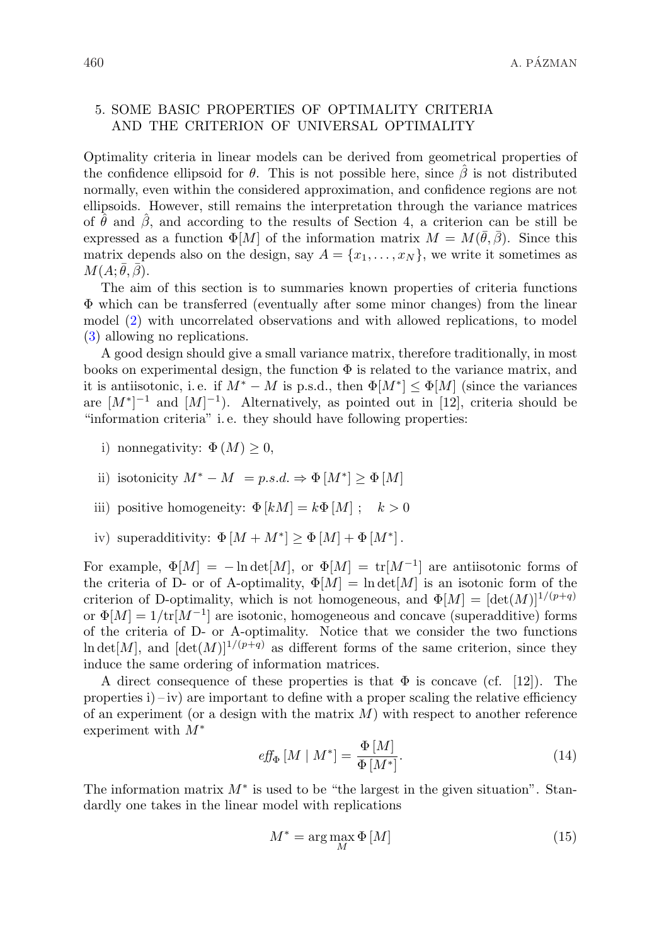#### 5. SOME BASIC PROPERTIES OF OPTIMALITY CRITERIA AND THE CRITERION OF UNIVERSAL OPTIMALITY

Optimality criteria in linear models can be derived from geometrical properties of the confidence ellipsoid for  $\theta$ . This is not possible here, since  $\hat{\beta}$  is not distributed normally, even within the considered approximation, and confidence regions are not ellipsoids. However, still remains the interpretation through the variance matrices of  $\hat{\theta}$  and  $\hat{\beta}$ , and according to the results of Section 4, a criterion can be still be expressed as a function  $\Phi[M]$  of the information matrix  $M = M(\bar{\theta}, \bar{\beta})$ . Since this matrix depends also on the design, say  $A = \{x_1, \ldots, x_N\}$ , we write it sometimes as  $M(A;\bar{\theta},\bar{\beta}).$ 

The aim of this section is to summaries known properties of criteria functions Φ which can be transferred (eventually after some minor changes) from the linear model (2) with uncorrelated observations and with allowed replications, to model (3) allowing no replications.

A good design should give a small variance matrix, therefore traditionally, in most books on experimental design, the function  $\Phi$  is related to the variance matrix, and it is antiisotonic, i.e. if  $M^* - M$  is p.s.d., then  $\Phi[M^*] \leq \Phi[M]$  (since the variances are  $[M^*]^{-1}$  and  $[M]^{-1}$ ). Alternatively, as pointed out in [12], criteria should be "information criteria" i. e. they should have following properties:

- i) nonnegativity:  $\Phi(M) \geq 0$ ,
- ii) isotonicity  $M^* M = p.s.d. \Rightarrow \Phi[M^*] \ge \Phi[M]$
- iii) positive homogeneity:  $\Phi[kM] = k\Phi[M]$ ;  $k > 0$
- iv) superadditivity:  $\Phi[M + M^*] \ge \Phi[M] + \Phi[M^*]$ .

For example,  $\Phi[M] = -\ln \det[M]$ , or  $\Phi[M] = \text{tr}[M^{-1}]$  are antiisotonic forms of the criteria of D- or of A-optimality,  $\Phi[M] = \ln \det[M]$  is an isotonic form of the criterion of D-optimality, which is not homogeneous, and  $\Phi[M] = [\det(M)]^{1/(p+q)}$ or  $\Phi[M] = 1/\text{tr}[M^{-1}]$  are isotonic, homogeneous and concave (superadditive) forms of the criteria of D- or A-optimality. Notice that we consider the two functions  $\ln \det[M]$ , and  $[\det(M)]^{1/(p+q)}$  as different forms of the same criterion, since they induce the same ordering of information matrices.

A direct consequence of these properties is that  $\Phi$  is concave (cf. [12]). The properties  $i$ ) – iv) are important to define with a proper scaling the relative efficiency of an experiment (or a design with the matrix  $M$ ) with respect to another reference experiment with  $M^*$ 

$$
eff_{\Phi}[M \mid M^*] = \frac{\Phi[M]}{\Phi[M^*]}.
$$
\n(14)

The information matrix  $M^*$  is used to be "the largest in the given situation". Standardly one takes in the linear model with replications

$$
M^* = \arg\max_{M} \Phi\left[M\right] \tag{15}
$$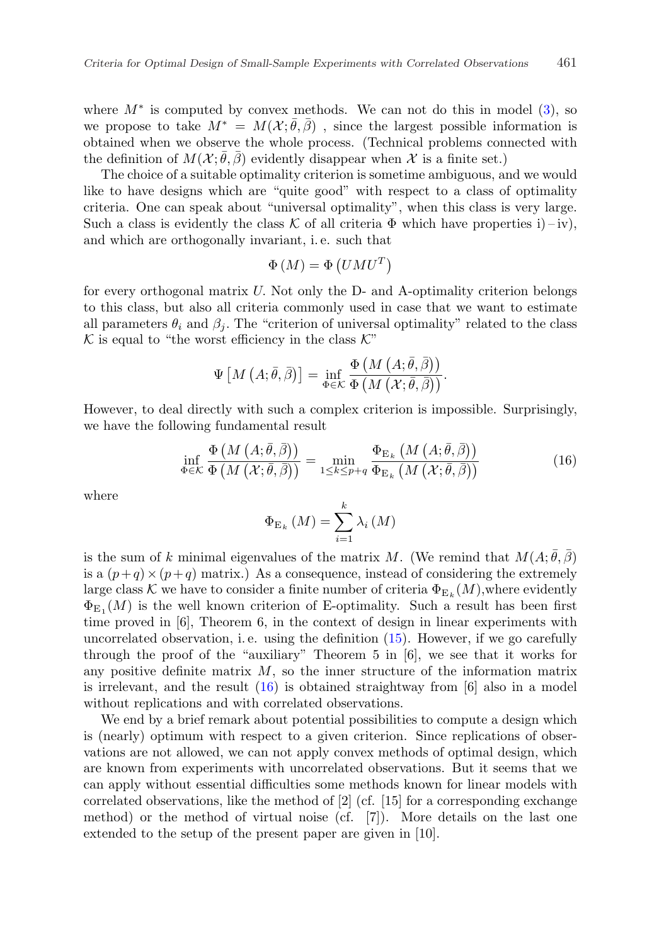where  $M^*$  is computed by convex methods. We can not do this in model  $(3)$ , so we propose to take  $M^* = M(\mathcal{X}; \bar{\theta}, \bar{\beta})$ , since the largest possible information is obtained when we observe the whole process. (Technical problems connected with the definition of  $M(\mathcal{X}; \bar{\theta}, \bar{\beta})$  evidently disappear when  $\mathcal{X}$  is a finite set.)

The choice of a suitable optimality criterion is sometime ambiguous, and we would like to have designs which are "quite good" with respect to a class of optimality criteria. One can speak about "universal optimality", when this class is very large. Such a class is evidently the class K of all criteria  $\Phi$  which have properties i) – iv), and which are orthogonally invariant, i. e. such that

$$
\Phi\left(M\right) = \Phi\left(UMU^{T}\right)
$$

for every orthogonal matrix U. Not only the D- and A-optimality criterion belongs to this class, but also all criteria commonly used in case that we want to estimate all parameters  $\theta_i$  and  $\beta_j$ . The "criterion of universal optimality" related to the class  $K$  is equal to "the worst efficiency in the class  $K$ "

$$
\Psi\left[M\left(A;\bar{\theta},\bar{\beta}\right)\right]=\inf_{\Phi\in\mathcal{K}}\frac{\Phi\left(M\left(A;\bar{\theta},\bar{\beta}\right)\right)}{\Phi\left(M\left(\mathcal{X};\bar{\theta},\bar{\beta}\right)\right)}.
$$

However, to deal directly with such a complex criterion is impossible. Surprisingly, we have the following fundamental result

$$
\inf_{\Phi \in \mathcal{K}} \frac{\Phi\left(M\left(A; \bar{\theta}, \bar{\beta}\right)\right)}{\Phi\left(M\left(\mathcal{X}; \bar{\theta}, \bar{\beta}\right)\right)} = \min_{1 \le k \le p+q} \frac{\Phi_{\mathcal{E}_k}\left(M\left(A; \bar{\theta}, \bar{\beta}\right)\right)}{\Phi_{\mathcal{E}_k}\left(M\left(\mathcal{X}; \bar{\theta}, \bar{\beta}\right)\right)}
$$
(16)

where

$$
\Phi_{\mathcal{E}_{k}}\left(M\right)=\sum_{i=1}^{k}\lambda_{i}\left(M\right)
$$

is the sum of k minimal eigenvalues of the matrix M. (We remind that  $M(A; \bar{\theta}, \bar{\beta})$ is a  $(p+q) \times (p+q)$  matrix.) As a consequence, instead of considering the extremely large class K we have to consider a finite number of criteria  $\Phi_{\mathcal{E}_k}(M)$ , where evidently  $\Phi_{\text{E}_1}(M)$  is the well known criterion of E-optimality. Such a result has been first time proved in [6], Theorem 6, in the context of design in linear experiments with uncorrelated observation, i. e. using the definition (15). However, if we go carefully through the proof of the "auxiliary" Theorem 5 in [6], we see that it works for any positive definite matrix  $M$ , so the inner structure of the information matrix is irrelevant, and the result (16) is obtained straightway from [6] also in a model without replications and with correlated observations.

We end by a brief remark about potential possibilities to compute a design which is (nearly) optimum with respect to a given criterion. Since replications of observations are not allowed, we can not apply convex methods of optimal design, which are known from experiments with uncorrelated observations. But it seems that we can apply without essential difficulties some methods known for linear models with correlated observations, like the method of  $[2]$  (cf.  $[15]$  for a corresponding exchange method) or the method of virtual noise (cf. [7]). More details on the last one extended to the setup of the present paper are given in [10].